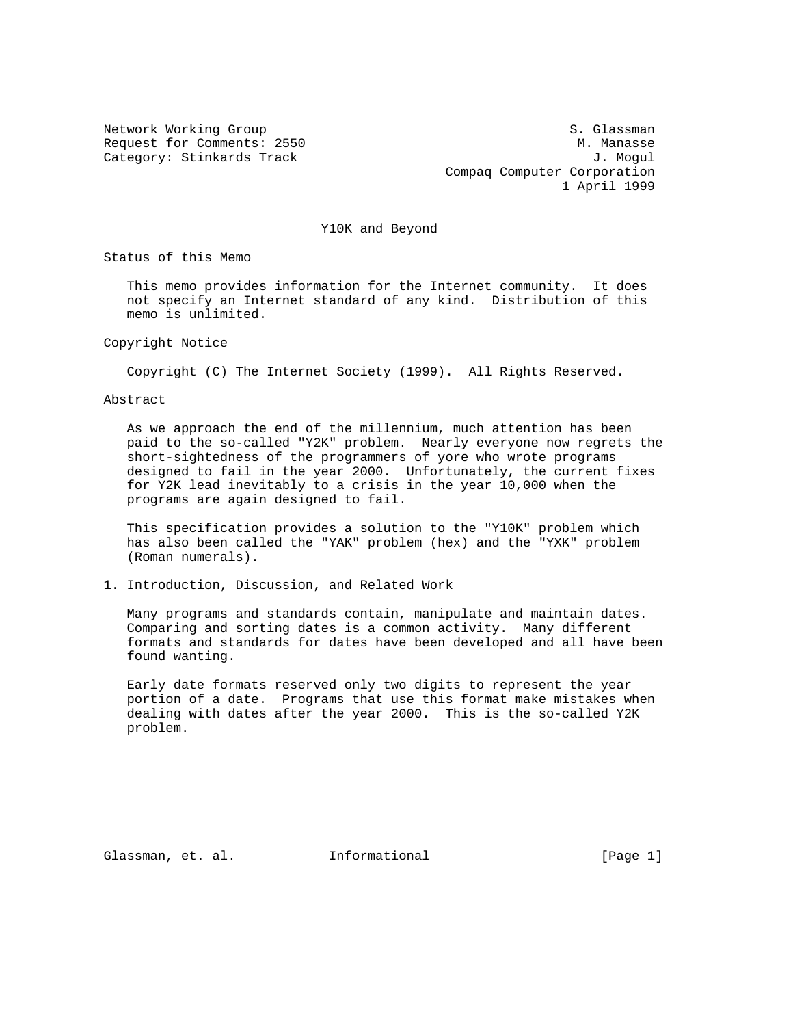Network Working Group S. Glassman S. Glassman Request for Comments: 2550 M. Manasse Category: Stinkards Track and Society and Society and Society and J. Mogul Compaq Computer Corporation 1 April 1999

Y10K and Beyond

Status of this Memo

 This memo provides information for the Internet community. It does not specify an Internet standard of any kind. Distribution of this memo is unlimited.

Copyright Notice

Copyright (C) The Internet Society (1999). All Rights Reserved.

Abstract

 As we approach the end of the millennium, much attention has been paid to the so-called "Y2K" problem. Nearly everyone now regrets the short-sightedness of the programmers of yore who wrote programs designed to fail in the year 2000. Unfortunately, the current fixes for Y2K lead inevitably to a crisis in the year 10,000 when the programs are again designed to fail.

 This specification provides a solution to the "Y10K" problem which has also been called the "YAK" problem (hex) and the "YXK" problem (Roman numerals).

1. Introduction, Discussion, and Related Work

 Many programs and standards contain, manipulate and maintain dates. Comparing and sorting dates is a common activity. Many different formats and standards for dates have been developed and all have been found wanting.

 Early date formats reserved only two digits to represent the year portion of a date. Programs that use this format make mistakes when dealing with dates after the year 2000. This is the so-called Y2K problem.

Glassman, et. al. Informational [Page 1]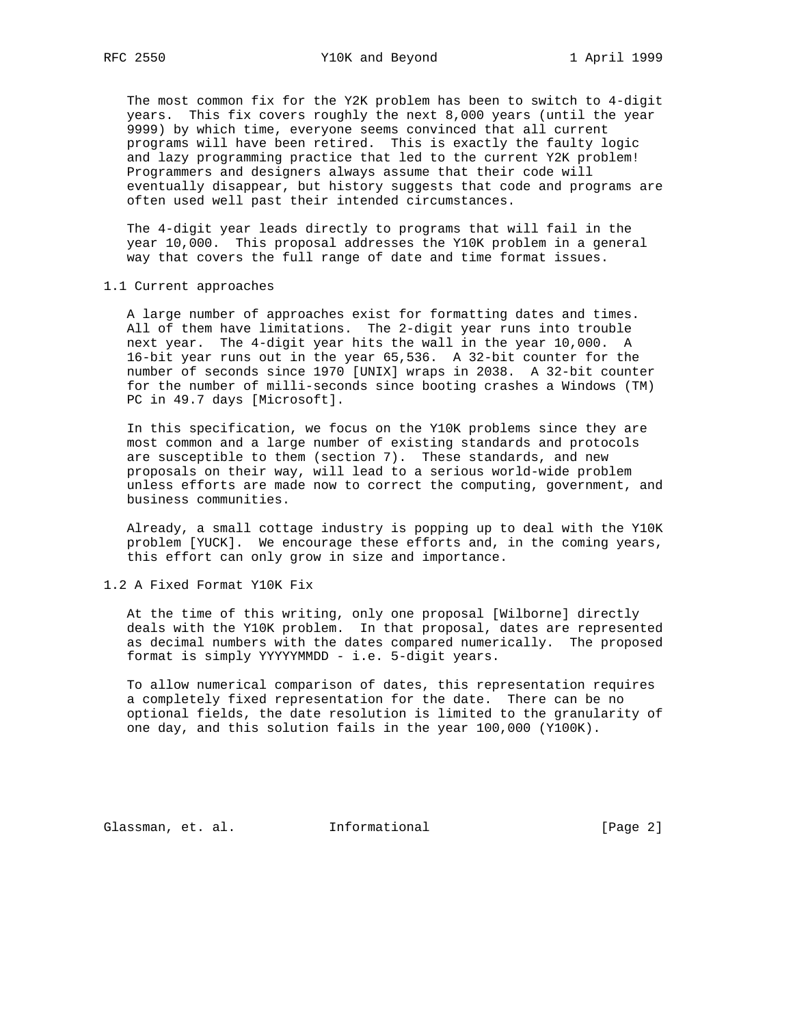The most common fix for the Y2K problem has been to switch to 4-digit years. This fix covers roughly the next 8,000 years (until the year 9999) by which time, everyone seems convinced that all current programs will have been retired. This is exactly the faulty logic and lazy programming practice that led to the current Y2K problem! Programmers and designers always assume that their code will eventually disappear, but history suggests that code and programs are often used well past their intended circumstances.

 The 4-digit year leads directly to programs that will fail in the year 10,000. This proposal addresses the Y10K problem in a general way that covers the full range of date and time format issues.

1.1 Current approaches

 A large number of approaches exist for formatting dates and times. All of them have limitations. The 2-digit year runs into trouble next year. The 4-digit year hits the wall in the year 10,000. A 16-bit year runs out in the year 65,536. A 32-bit counter for the number of seconds since 1970 [UNIX] wraps in 2038. A 32-bit counter for the number of milli-seconds since booting crashes a Windows (TM) PC in 49.7 days [Microsoft].

 In this specification, we focus on the Y10K problems since they are most common and a large number of existing standards and protocols are susceptible to them (section 7). These standards, and new proposals on their way, will lead to a serious world-wide problem unless efforts are made now to correct the computing, government, and business communities.

 Already, a small cottage industry is popping up to deal with the Y10K problem [YUCK]. We encourage these efforts and, in the coming years, this effort can only grow in size and importance.

1.2 A Fixed Format Y10K Fix

 At the time of this writing, only one proposal [Wilborne] directly deals with the Y10K problem. In that proposal, dates are represented as decimal numbers with the dates compared numerically. The proposed format is simply YYYYYMMDD - i.e. 5-digit years.

 To allow numerical comparison of dates, this representation requires a completely fixed representation for the date. There can be no optional fields, the date resolution is limited to the granularity of one day, and this solution fails in the year 100,000 (Y100K).

Glassman, et. al. Informational [Page 2]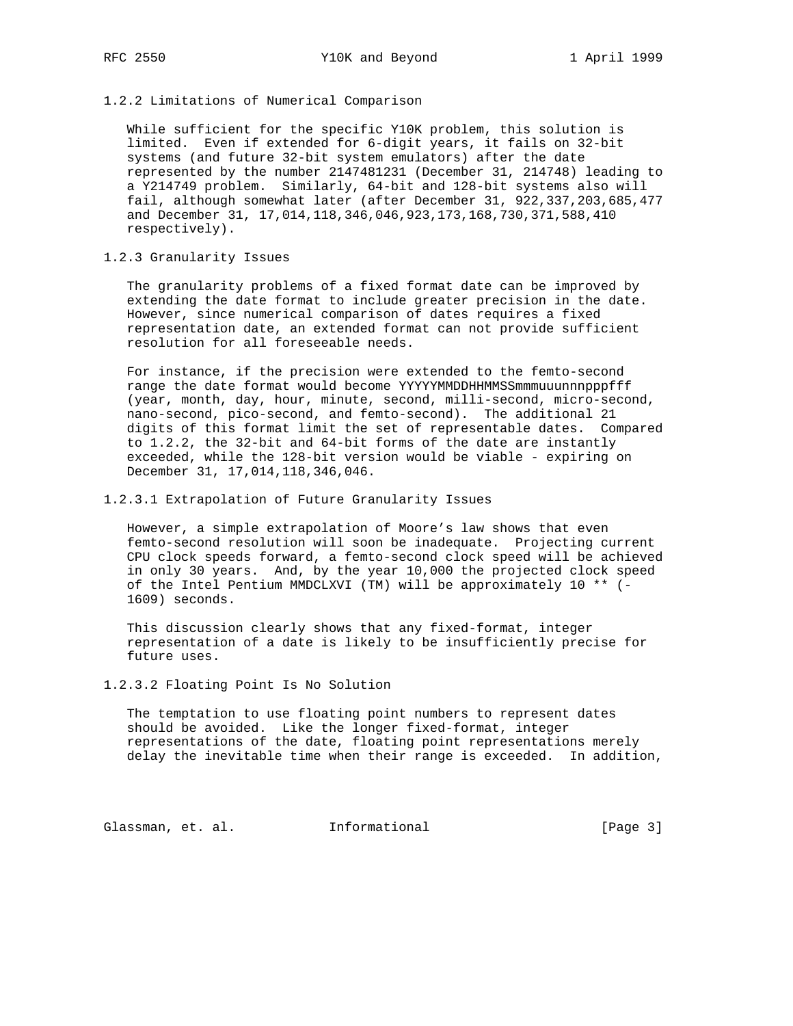1.2.2 Limitations of Numerical Comparison

 While sufficient for the specific Y10K problem, this solution is limited. Even if extended for 6-digit years, it fails on 32-bit systems (and future 32-bit system emulators) after the date represented by the number 2147481231 (December 31, 214748) leading to a Y214749 problem. Similarly, 64-bit and 128-bit systems also will fail, although somewhat later (after December 31, 922,337,203,685,477 and December 31, 17,014,118,346,046,923,173,168,730,371,588,410 respectively).

1.2.3 Granularity Issues

 The granularity problems of a fixed format date can be improved by extending the date format to include greater precision in the date. However, since numerical comparison of dates requires a fixed representation date, an extended format can not provide sufficient resolution for all foreseeable needs.

 For instance, if the precision were extended to the femto-second range the date format would become YYYYYMMDDHHMMSSmmmuuunnnpppfff (year, month, day, hour, minute, second, milli-second, micro-second, nano-second, pico-second, and femto-second). The additional 21 digits of this format limit the set of representable dates. Compared to 1.2.2, the 32-bit and 64-bit forms of the date are instantly exceeded, while the 128-bit version would be viable - expiring on December 31, 17,014,118,346,046.

## 1.2.3.1 Extrapolation of Future Granularity Issues

 However, a simple extrapolation of Moore's law shows that even femto-second resolution will soon be inadequate. Projecting current CPU clock speeds forward, a femto-second clock speed will be achieved in only 30 years. And, by the year 10,000 the projected clock speed of the Intel Pentium MMDCLXVI (TM) will be approximately 10 \*\* (- 1609) seconds.

 This discussion clearly shows that any fixed-format, integer representation of a date is likely to be insufficiently precise for future uses.

1.2.3.2 Floating Point Is No Solution

 The temptation to use floating point numbers to represent dates should be avoided. Like the longer fixed-format, integer representations of the date, floating point representations merely delay the inevitable time when their range is exceeded. In addition,

Glassman, et. al. 1nformational 1999 [Page 3]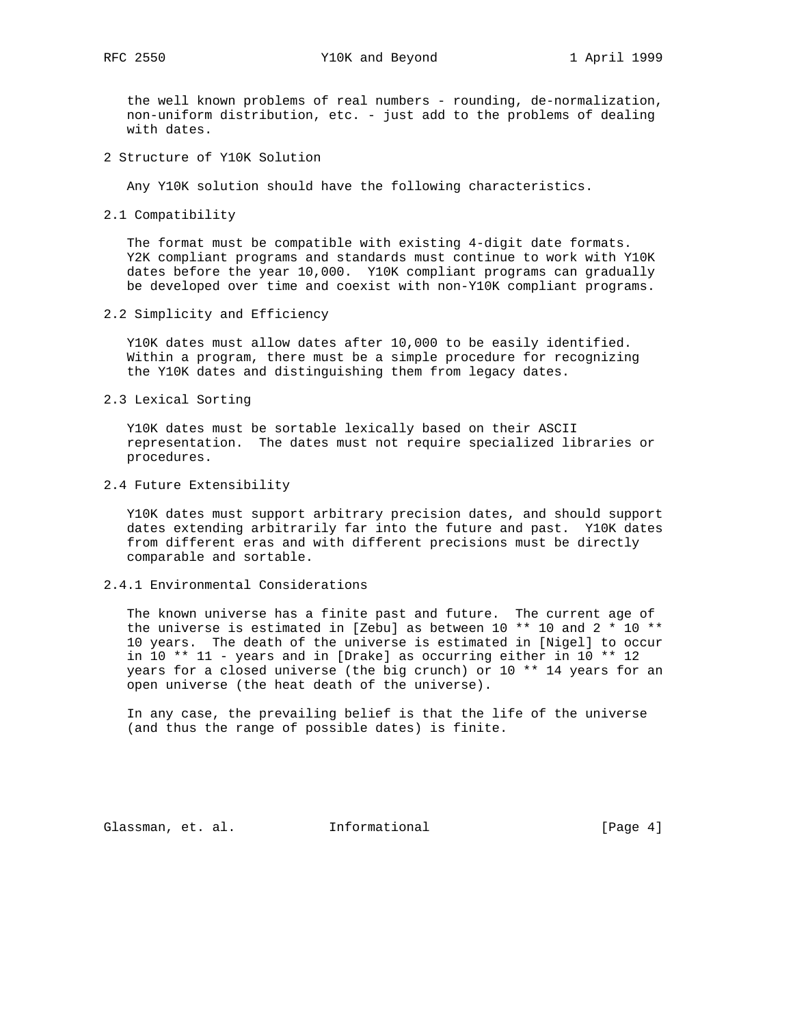the well known problems of real numbers - rounding, de-normalization, non-uniform distribution, etc. - just add to the problems of dealing with dates.

2 Structure of Y10K Solution

Any Y10K solution should have the following characteristics.

2.1 Compatibility

 The format must be compatible with existing 4-digit date formats. Y2K compliant programs and standards must continue to work with Y10K dates before the year 10,000. Y10K compliant programs can gradually be developed over time and coexist with non-Y10K compliant programs.

2.2 Simplicity and Efficiency

 Y10K dates must allow dates after 10,000 to be easily identified. Within a program, there must be a simple procedure for recognizing the Y10K dates and distinguishing them from legacy dates.

2.3 Lexical Sorting

 Y10K dates must be sortable lexically based on their ASCII representation. The dates must not require specialized libraries or procedures.

2.4 Future Extensibility

 Y10K dates must support arbitrary precision dates, and should support dates extending arbitrarily far into the future and past. Y10K dates from different eras and with different precisions must be directly comparable and sortable.

2.4.1 Environmental Considerations

 The known universe has a finite past and future. The current age of the universe is estimated in [Zebu] as between 10 \*\* 10 and 2 \* 10 \*\* 10 years. The death of the universe is estimated in [Nigel] to occur in 10 \*\* 11 - years and in [Drake] as occurring either in 10 \*\* 12 years for a closed universe (the big crunch) or 10 \*\* 14 years for an open universe (the heat death of the universe).

 In any case, the prevailing belief is that the life of the universe (and thus the range of possible dates) is finite.

Glassman, et. al. Informational [Page 4]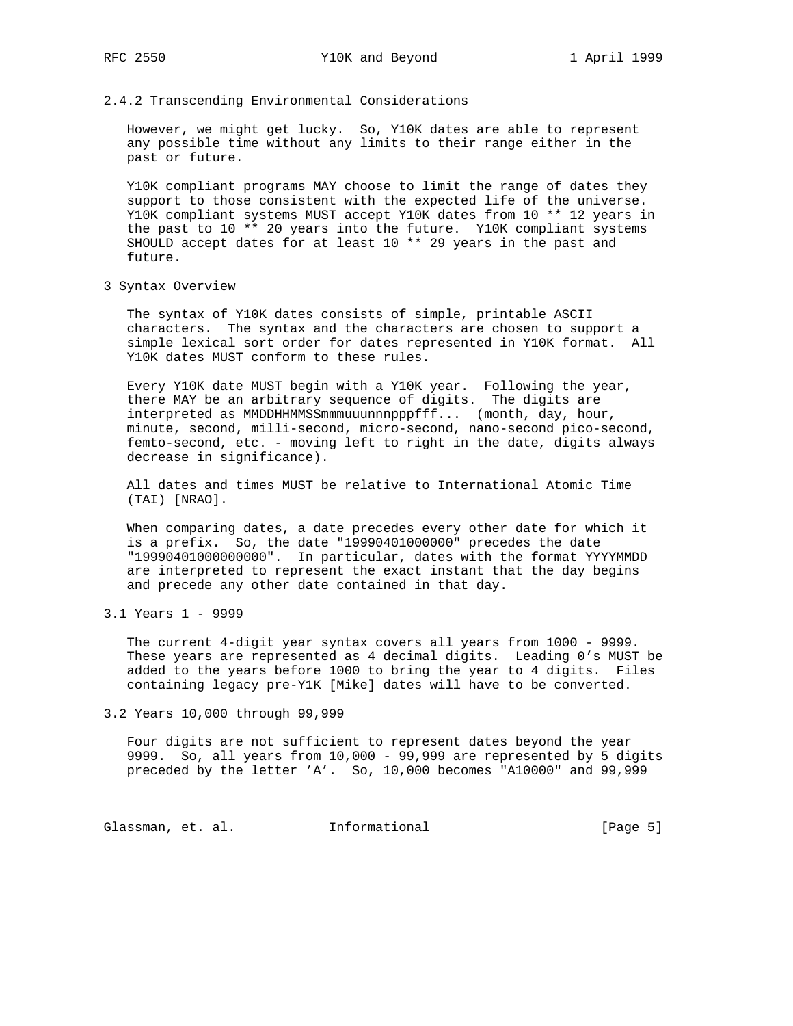## 2.4.2 Transcending Environmental Considerations

 However, we might get lucky. So, Y10K dates are able to represent any possible time without any limits to their range either in the past or future.

 Y10K compliant programs MAY choose to limit the range of dates they support to those consistent with the expected life of the universe. Y10K compliant systems MUST accept Y10K dates from 10 \*\* 12 years in the past to 10 \*\* 20 years into the future. Y10K compliant systems SHOULD accept dates for at least 10 \*\* 29 years in the past and future.

3 Syntax Overview

 The syntax of Y10K dates consists of simple, printable ASCII characters. The syntax and the characters are chosen to support a simple lexical sort order for dates represented in Y10K format. All Y10K dates MUST conform to these rules.

 Every Y10K date MUST begin with a Y10K year. Following the year, there MAY be an arbitrary sequence of digits. The digits are interpreted as MMDDHHMMSSmmmuuunnnpppfff... (month, day, hour, minute, second, milli-second, micro-second, nano-second pico-second, femto-second, etc. - moving left to right in the date, digits always decrease in significance).

 All dates and times MUST be relative to International Atomic Time (TAI) [NRAO].

 When comparing dates, a date precedes every other date for which it is a prefix. So, the date "19990401000000" precedes the date "19990401000000000". In particular, dates with the format YYYYMMDD are interpreted to represent the exact instant that the day begins and precede any other date contained in that day.

 The current 4-digit year syntax covers all years from 1000 - 9999. These years are represented as 4 decimal digits. Leading 0's MUST be added to the years before 1000 to bring the year to 4 digits. Files containing legacy pre-Y1K [Mike] dates will have to be converted.

3.2 Years 10,000 through 99,999

 Four digits are not sufficient to represent dates beyond the year 9999. So, all years from 10,000 - 99,999 are represented by 5 digits preceded by the letter 'A'. So, 10,000 becomes "A10000" and 99,999

Glassman, et. al. 1nformational 1999 [Page 5]

<sup>3.1</sup> Years 1 - 9999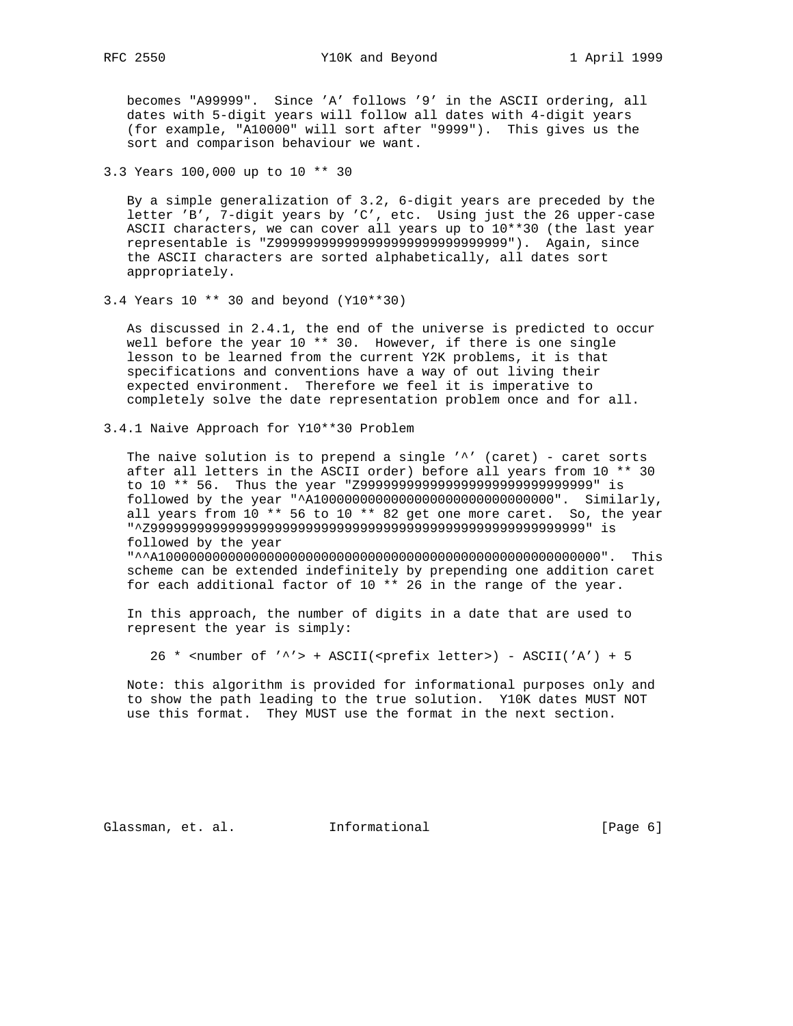becomes "A99999". Since 'A' follows '9' in the ASCII ordering, all dates with 5-digit years will follow all dates with 4-digit years (for example, "A10000" will sort after "9999"). This gives us the sort and comparison behaviour we want.

3.3 Years 100,000 up to 10 \*\* 30

 By a simple generalization of 3.2, 6-digit years are preceded by the letter 'B', 7-digit years by 'C', etc. Using just the 26 upper-case ASCII characters, we can cover all years up to 10\*\*30 (the last year representable is "Z999999999999999999999999999999"). Again, since the ASCII characters are sorted alphabetically, all dates sort appropriately.

3.4 Years 10 \*\* 30 and beyond (Y10\*\*30)

 As discussed in 2.4.1, the end of the universe is predicted to occur well before the year 10 \*\* 30. However, if there is one single lesson to be learned from the current Y2K problems, it is that specifications and conventions have a way of out living their expected environment. Therefore we feel it is imperative to completely solve the date representation problem once and for all.

3.4.1 Naive Approach for Y10\*\*30 Problem

The naive solution is to prepend a single  $'$ ' (caret) - caret sorts after all letters in the ASCII order) before all years from 10 \*\* 30 to 10 \*\* 56. Thus the year "Z999999999999999999999999999999" is followed by the year "^A1000000000000000000000000000000". Similarly, all years from 10 \*\* 56 to 10 \*\* 82 get one more caret. So, the year "^Z99999999999999999999999999999999999999999999999999999999" is followed by the year

 "^^A100000000000000000000000000000000000000000000000000000000". This scheme can be extended indefinitely by prepending one addition caret for each additional factor of 10 \*\* 26 in the range of the year.

 In this approach, the number of digits in a date that are used to represent the year is simply:

26 \* <number of '^'> + ASCII(<prefix letter>) - ASCII('A') + 5

 Note: this algorithm is provided for informational purposes only and to show the path leading to the true solution. Y10K dates MUST NOT use this format. They MUST use the format in the next section.

Glassman, et. al. Informational [Page 6]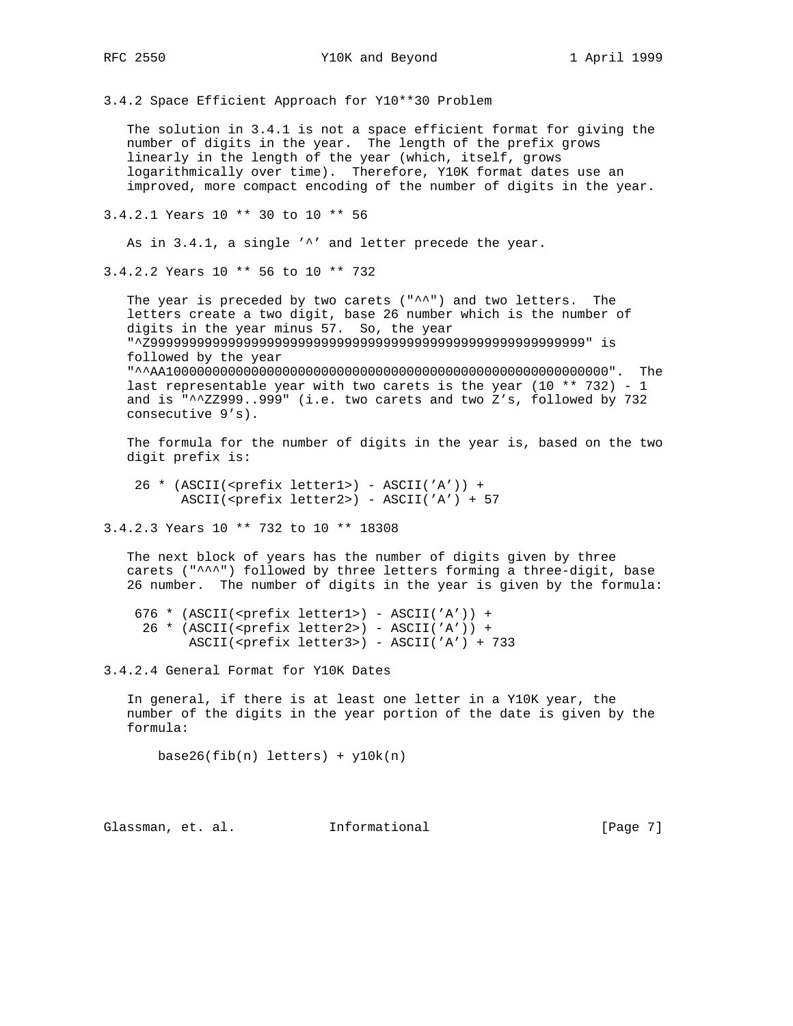3.4.2 Space Efficient Approach for Y10\*\*30 Problem

 The solution in 3.4.1 is not a space efficient format for giving the number of digits in the year. The length of the prefix grows linearly in the length of the year (which, itself, grows logarithmically over time). Therefore, Y10K format dates use an improved, more compact encoding of the number of digits in the year.

3.4.2.1 Years 10 \*\* 30 to 10 \*\* 56

As in 3.4.1, a single '^' and letter precede the year.

3.4.2.2 Years 10 \*\* 56 to 10 \*\* 732

The year is preceded by two carets  $($  " $^{\wedge n}$ ") and two letters. The letters create a two digit, base 26 number which is the number of digits in the year minus 57. So, the year "^Z99999999999999999999999999999999999999999999999999999999" is followed by the year "^^AA100000000000000000000000000000000000000000000000000000000". The last representable year with two carets is the year  $(10 ** 732) - 1$  and is "^^ZZ999..999" (i.e. two carets and two Z's, followed by 732 consecutive 9's).

 The formula for the number of digits in the year is, based on the two digit prefix is:

 26 \* (ASCII(<prefix letter1>) - ASCII('A')) + ASCII(<prefix letter2>) - ASCII('A') + 57

3.4.2.3 Years 10 \*\* 732 to 10 \*\* 18308

 The next block of years has the number of digits given by three carets ("^^^") followed by three letters forming a three-digit, base 26 number. The number of digits in the year is given by the formula:

 676 \* (ASCII(<prefix letter1>) - ASCII('A')) + 26 \* (ASCII(<prefix letter2>) - ASCII('A')) + ASCII(<prefix letter3>) - ASCII('A') + 733

3.4.2.4 General Format for Y10K Dates

 In general, if there is at least one letter in a Y10K year, the number of the digits in the year portion of the date is given by the formula:

 $base26(fib(n) letters) + y10k(n)$ 

Glassman, et. al. Informational [Page 7]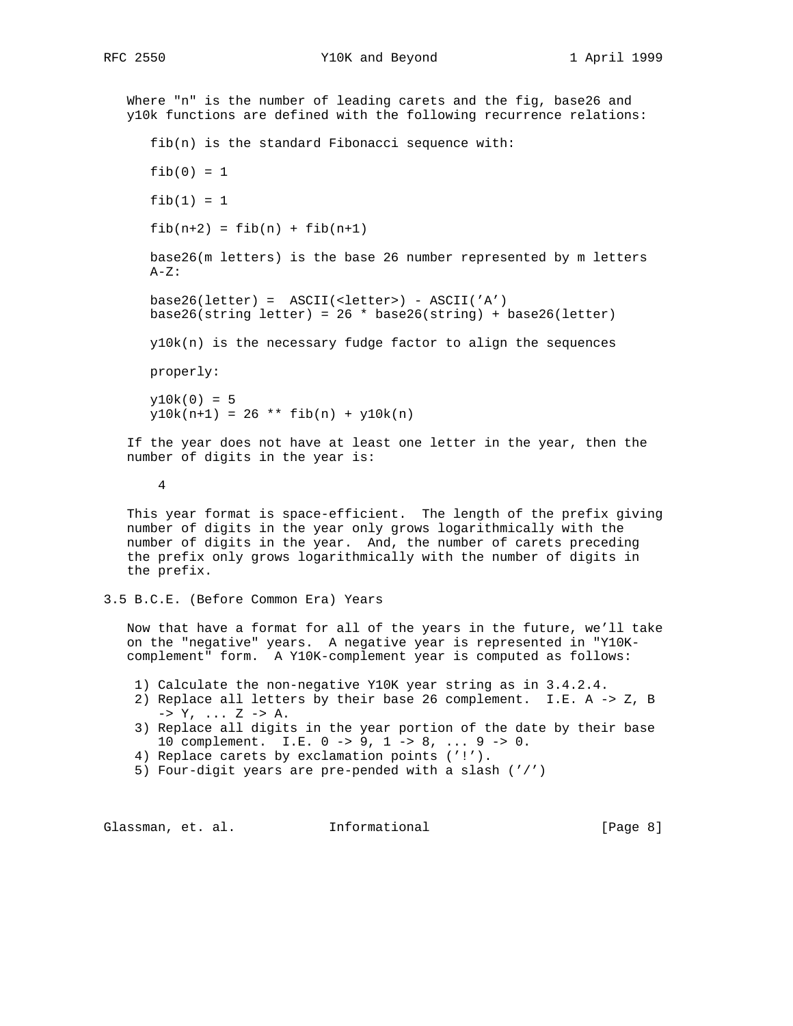RFC 2550 Y10K and Beyond 1 April 1999

 Where "n" is the number of leading carets and the fig, base26 and y10k functions are defined with the following recurrence relations: fib(n) is the standard Fibonacci sequence with:  $fib(0) = 1$  $fib(1) = 1$  $fib(n+2) = fib(n) + fib(n+1)$  base26(m letters) is the base 26 number represented by m letters  $A-Z$ : base26(letter) = ASCII(<letter>) - ASCII('A') base26(string letter) =  $26 * base26(string) + base26(lefter)$  y10k(n) is the necessary fudge factor to align the sequences properly:  $y10k(0) = 5$  $y10k(n+1) = 26$  \*\*  $fib(n) + y10k(n)$  If the year does not have at least one letter in the year, then the number of digits in the year is: 4 This year format is space-efficient. The length of the prefix giving number of digits in the year only grows logarithmically with the number of digits in the year. And, the number of carets preceding the prefix only grows logarithmically with the number of digits in the prefix. 3.5 B.C.E. (Before Common Era) Years Now that have a format for all of the years in the future, we'll take on the "negative" years. A negative year is represented in "Y10K-

1) Calculate the non-negative Y10K year string as in 3.4.2.4.

complement" form. A Y10K-complement year is computed as follows:

- 2) Replace all letters by their base 26 complement. I.E. A -> Z, B  $\rightarrow$  Y, ... Z  $\rightarrow$  A.
- 3) Replace all digits in the year portion of the date by their base 10 complement. I.E. 0 -> 9, 1 -> 8, ... 9 -> 0.
- 4) Replace carets by exclamation points ('!').
- 5) Four-digit years are pre-pended with a slash ('/')

Glassman, et. al. Informational [Page 8]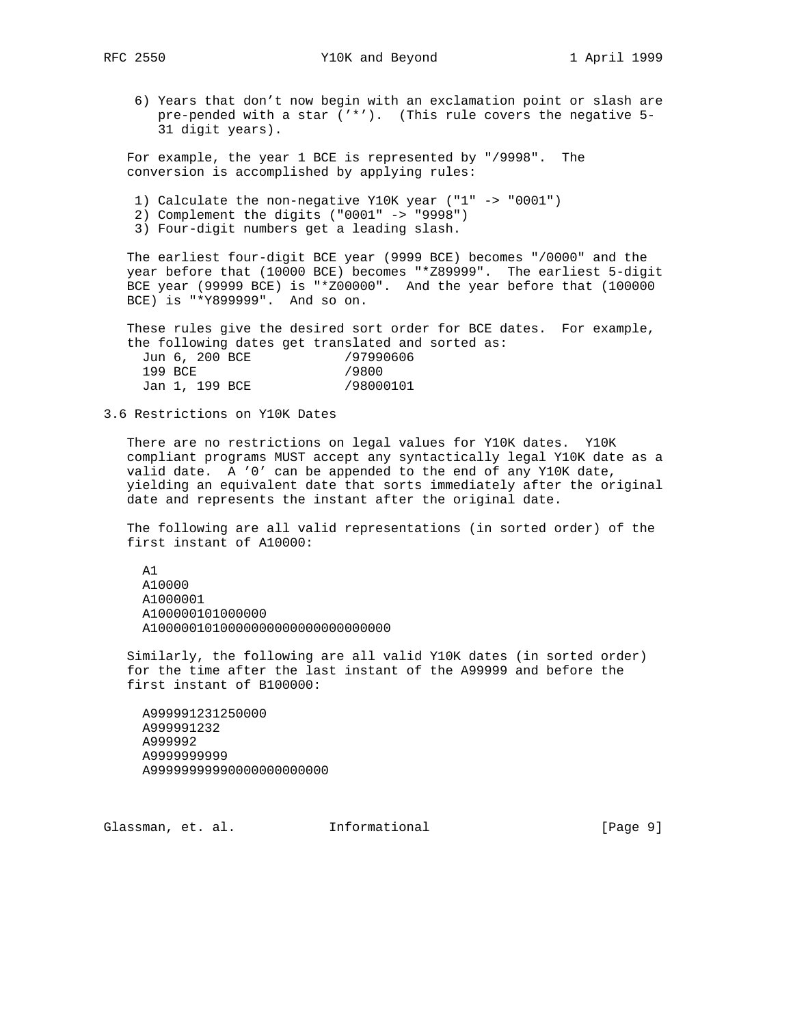6) Years that don't now begin with an exclamation point or slash are pre-pended with a star ('\*'). (This rule covers the negative 5- 31 digit years).

 For example, the year 1 BCE is represented by "/9998". The conversion is accomplished by applying rules:

- 1) Calculate the non-negative Y10K year ("1" -> "0001")
- 2) Complement the digits ("0001" -> "9998")
- 3) Four-digit numbers get a leading slash.

 The earliest four-digit BCE year (9999 BCE) becomes "/0000" and the year before that (10000 BCE) becomes "\*Z89999". The earliest 5-digit BCE year (99999 BCE) is "\*Z00000". And the year before that (100000 BCE) is "\*Y899999". And so on.

 These rules give the desired sort order for BCE dates. For example, the following dates get translated and sorted as: Jun 6, 200 BCE /97990606 199 BCE /9800 Jan 1, 199 BCE /98000101

3.6 Restrictions on Y10K Dates

 There are no restrictions on legal values for Y10K dates. Y10K compliant programs MUST accept any syntactically legal Y10K date as a valid date. A '0' can be appended to the end of any Y10K date, yielding an equivalent date that sorts immediately after the original date and represents the instant after the original date.

 The following are all valid representations (in sorted order) of the first instant of A10000:

 A1 A10000 A1000001 A100000101000000 A1000001010000000000000000000000

 Similarly, the following are all valid Y10K dates (in sorted order) for the time after the last instant of the A99999 and before the first instant of B100000:

 A999991231250000 A999991232 A999992 A9999999999 A99999999990000000000000

Glassman, et. al. Informational [Page 9]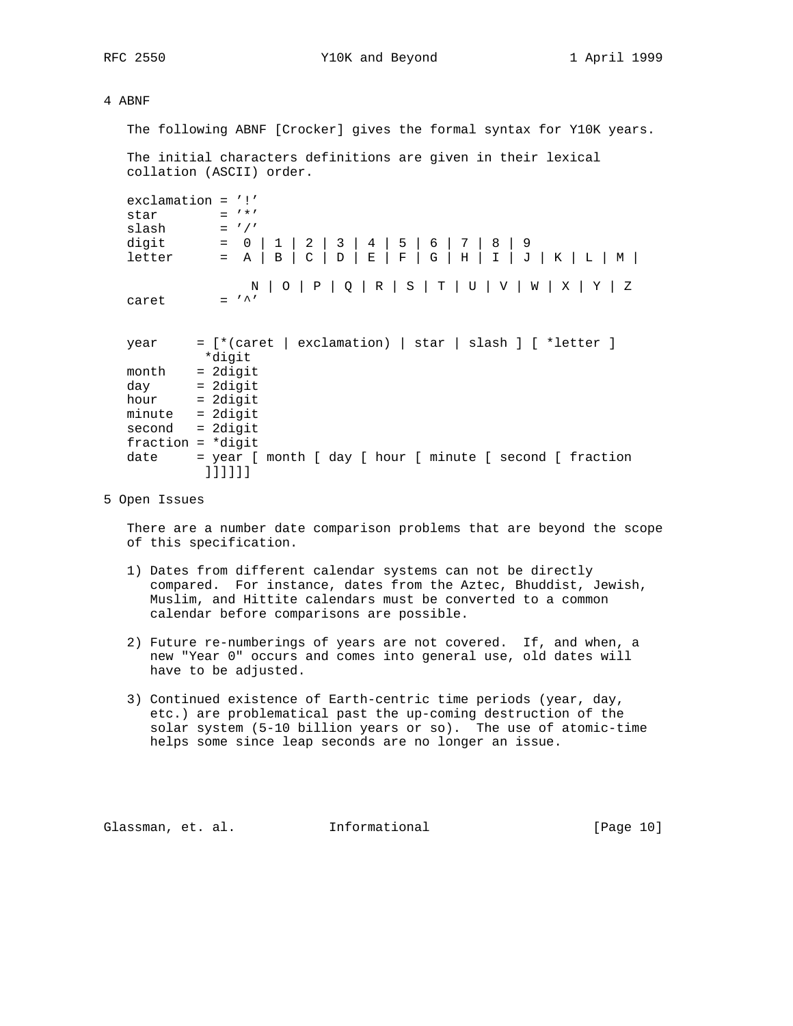RFC 2550 Y10K and Beyond 1 April 1999

## 4 ABNF

The following ABNF [Crocker] gives the formal syntax for Y10K years.

 The initial characters definitions are given in their lexical collation (ASCII) order.

```
 exclamation = '!'
 star = '*'
 slash = '/ digit = 0 | 1 | 2 | 3 | 4 | 5 | 6 | 7 | 8 | 9
l letter = A |B|C|D|E|F|G|H|I|J|K|L|M| N | O | P | Q | R | S | T | U | V | W | X | Y | Z
caret = '
```

| year                | $=$ [*(caret   exclamation)   star   slash ] [ *letter ] |  |  |  |  |  |  |
|---------------------|----------------------------------------------------------|--|--|--|--|--|--|
|                     | *digit                                                   |  |  |  |  |  |  |
| month               | $= 2$ digit                                              |  |  |  |  |  |  |
| day                 | $= 2$ digit                                              |  |  |  |  |  |  |
| $hour = 2digit$     |                                                          |  |  |  |  |  |  |
| minute              | = 2digit                                                 |  |  |  |  |  |  |
| $second = 2digit$   |                                                          |  |  |  |  |  |  |
| $fraction = *digit$ |                                                          |  |  |  |  |  |  |
| date                | = year [ month [ day [ hour [ minute [ second [ fraction |  |  |  |  |  |  |
|                     |                                                          |  |  |  |  |  |  |

5 Open Issues

 There are a number date comparison problems that are beyond the scope of this specification.

- 1) Dates from different calendar systems can not be directly compared. For instance, dates from the Aztec, Bhuddist, Jewish, Muslim, and Hittite calendars must be converted to a common calendar before comparisons are possible.
- 2) Future re-numberings of years are not covered. If, and when, a new "Year 0" occurs and comes into general use, old dates will have to be adjusted.
- 3) Continued existence of Earth-centric time periods (year, day, etc.) are problematical past the up-coming destruction of the solar system (5-10 billion years or so). The use of atomic-time helps some since leap seconds are no longer an issue.

Glassman, et. al. Informational [Page 10]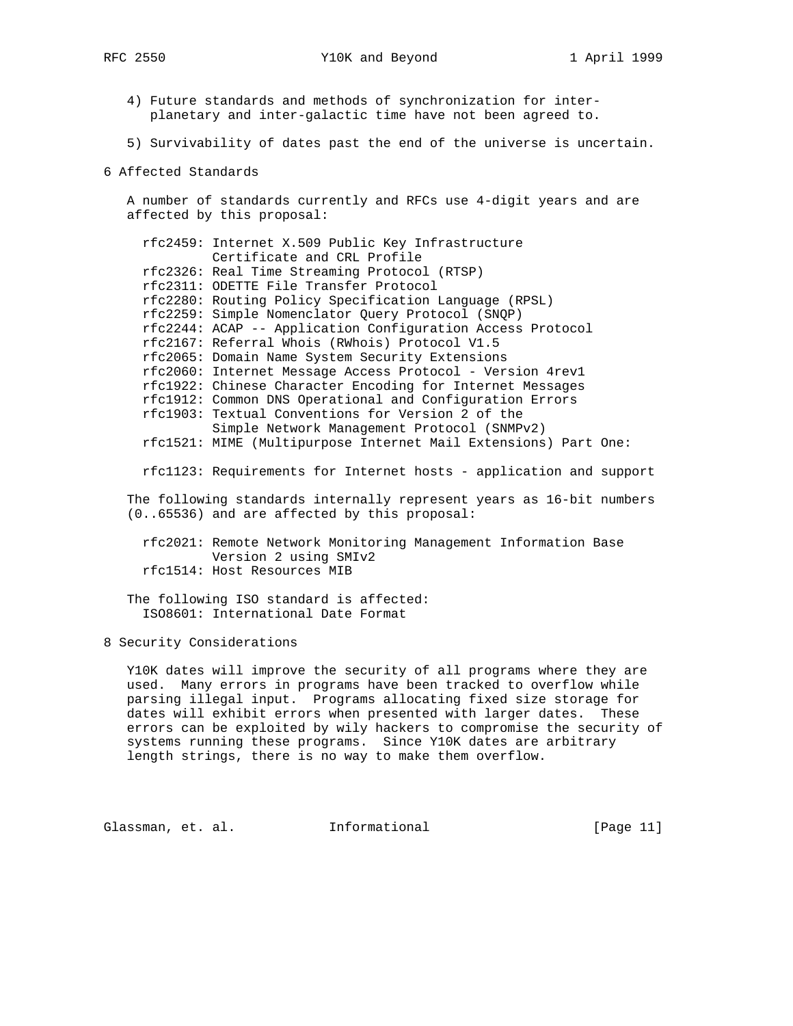- 4) Future standards and methods of synchronization for inter planetary and inter-galactic time have not been agreed to.
- 5) Survivability of dates past the end of the universe is uncertain.
- 6 Affected Standards

 A number of standards currently and RFCs use 4-digit years and are affected by this proposal:

 rfc2459: Internet X.509 Public Key Infrastructure Certificate and CRL Profile rfc2326: Real Time Streaming Protocol (RTSP) rfc2311: ODETTE File Transfer Protocol rfc2280: Routing Policy Specification Language (RPSL) rfc2259: Simple Nomenclator Query Protocol (SNQP) rfc2244: ACAP -- Application Configuration Access Protocol rfc2167: Referral Whois (RWhois) Protocol V1.5 rfc2065: Domain Name System Security Extensions rfc2060: Internet Message Access Protocol - Version 4rev1 rfc1922: Chinese Character Encoding for Internet Messages rfc1912: Common DNS Operational and Configuration Errors rfc1903: Textual Conventions for Version 2 of the Simple Network Management Protocol (SNMPv2) rfc1521: MIME (Multipurpose Internet Mail Extensions) Part One:

rfc1123: Requirements for Internet hosts - application and support

 The following standards internally represent years as 16-bit numbers (0..65536) and are affected by this proposal:

 rfc2021: Remote Network Monitoring Management Information Base Version 2 using SMIv2 rfc1514: Host Resources MIB

 The following ISO standard is affected: ISO8601: International Date Format

8 Security Considerations

 Y10K dates will improve the security of all programs where they are used. Many errors in programs have been tracked to overflow while parsing illegal input. Programs allocating fixed size storage for dates will exhibit errors when presented with larger dates. These errors can be exploited by wily hackers to compromise the security of systems running these programs. Since Y10K dates are arbitrary length strings, there is no way to make them overflow.

Glassman, et. al. 1nformational [Page 11]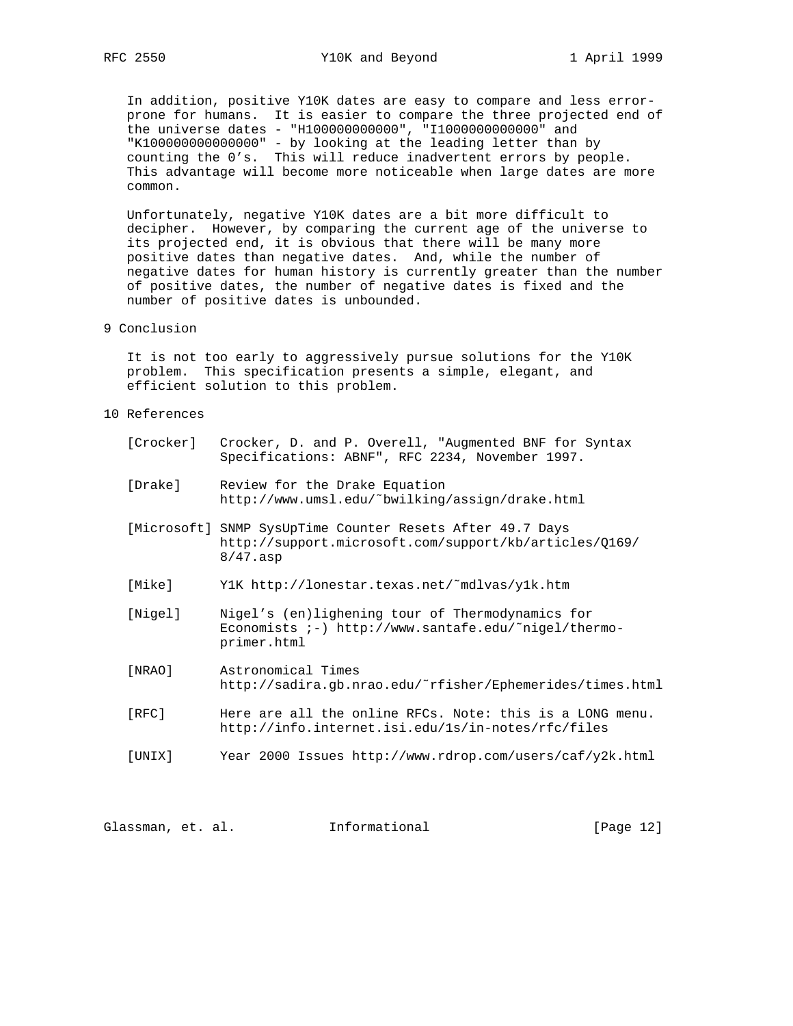In addition, positive Y10K dates are easy to compare and less error prone for humans. It is easier to compare the three projected end of the universe dates - "H100000000000", "I1000000000000" and "K100000000000000" - by looking at the leading letter than by counting the 0's. This will reduce inadvertent errors by people. This advantage will become more noticeable when large dates are more common.

 Unfortunately, negative Y10K dates are a bit more difficult to decipher. However, by comparing the current age of the universe to its projected end, it is obvious that there will be many more positive dates than negative dates. And, while the number of negative dates for human history is currently greater than the number of positive dates, the number of negative dates is fixed and the number of positive dates is unbounded.

9 Conclusion

 It is not too early to aggressively pursue solutions for the Y10K problem. This specification presents a simple, elegant, and efficient solution to this problem.

- 10 References
	- [Crocker] Crocker, D. and P. Overell, "Augmented BNF for Syntax Specifications: ABNF", RFC 2234, November 1997.
	- [Drake] Review for the Drake Equation http://www.umsl.edu/˜bwilking/assign/drake.html
	- [Microsoft] SNMP SysUpTime Counter Resets After 49.7 Days http://support.microsoft.com/support/kb/articles/Q169/ 8/47.asp
	- [Mike] Y1K http://lonestar.texas.net/˜mdlvas/y1k.htm
	- [Nigel] Nigel's (en)lighening tour of Thermodynamics for Economists ;-) http://www.santafe.edu/˜nigel/thermo primer.html
	- [NRAO] Astronomical Times http://sadira.gb.nrao.edu/˜rfisher/Ephemerides/times.html
	- [RFC] Here are all the online RFCs. Note: this is a LONG menu. http://info.internet.isi.edu/1s/in-notes/rfc/files
	- [UNIX] Year 2000 Issues http://www.rdrop.com/users/caf/y2k.html

Glassman, et. al. Informational [Page 12]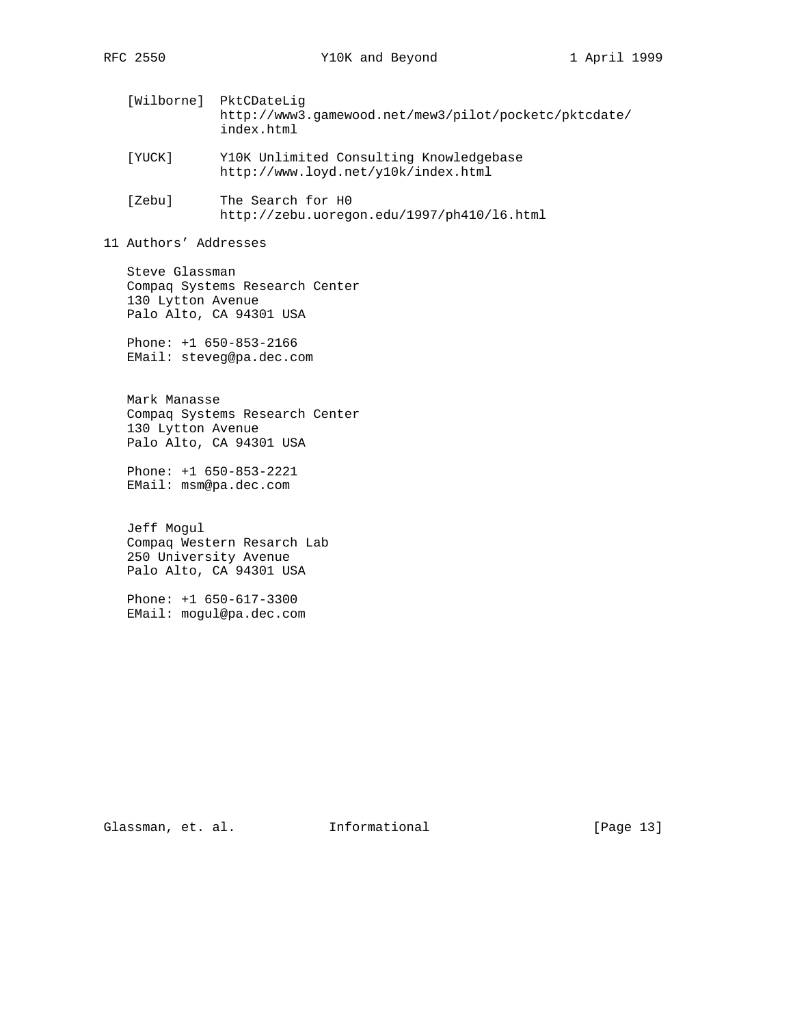- [Wilborne] PktCDateLig http://www3.gamewood.net/mew3/pilot/pocketc/pktcdate/ index.html
- [YUCK] Y10K Unlimited Consulting Knowledgebase http://www.loyd.net/y10k/index.html
- [Zebu] The Search for H0 http://zebu.uoregon.edu/1997/ph410/l6.html
- 11 Authors' Addresses

 Steve Glassman Compaq Systems Research Center 130 Lytton Avenue Palo Alto, CA 94301 USA

 Phone: +1 650-853-2166 EMail: steveg@pa.dec.com

 Mark Manasse Compaq Systems Research Center 130 Lytton Avenue Palo Alto, CA 94301 USA

 Phone: +1 650-853-2221 EMail: msm@pa.dec.com

 Jeff Mogul Compaq Western Resarch Lab 250 University Avenue Palo Alto, CA 94301 USA

 Phone: +1 650-617-3300 EMail: mogul@pa.dec.com

Glassman, et. al. 1nformational [Page 13]